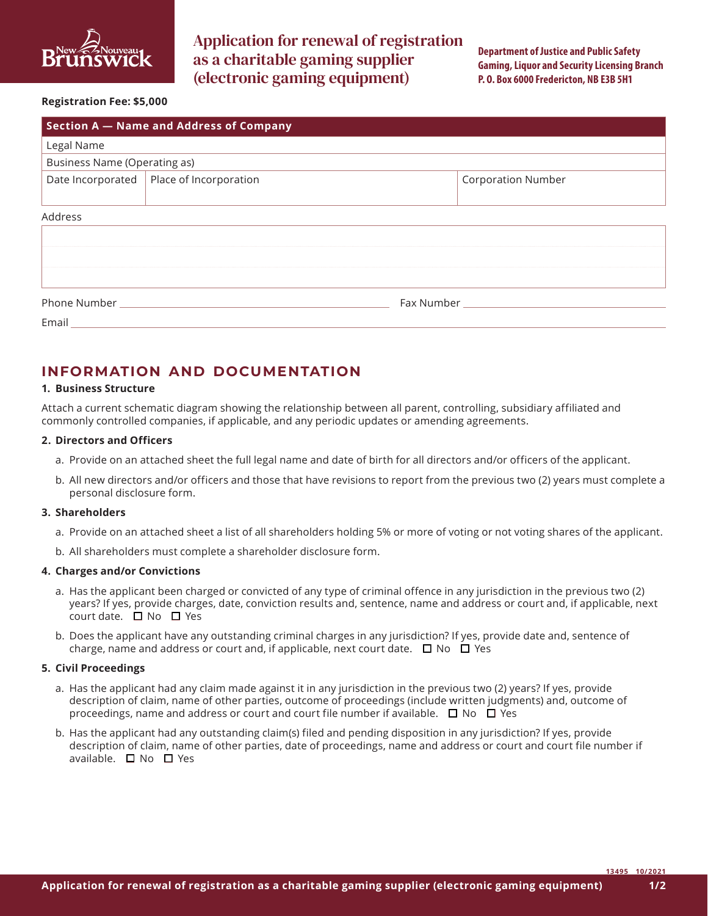

Application for renewal of registration as a charitable gaming supplier (electronic gaming equipment)

**Department of Justice and Public Safety Gaming, Liquor and Security Licensing Branch P. O. Box 6000 Fredericton, NB E3B 5H1**

#### **Registration Fee: \$5,000**

| Section A - Name and Address of Company |                                            |  |                           |  |
|-----------------------------------------|--------------------------------------------|--|---------------------------|--|
| Legal Name                              |                                            |  |                           |  |
| <b>Business Name (Operating as)</b>     |                                            |  |                           |  |
|                                         | Date Incorporated   Place of Incorporation |  | <b>Corporation Number</b> |  |
|                                         |                                            |  |                           |  |
| Address                                 |                                            |  |                           |  |
|                                         |                                            |  |                           |  |
|                                         |                                            |  |                           |  |
|                                         |                                            |  |                           |  |
|                                         |                                            |  |                           |  |
| Phone Number <b>Manufacture 1986</b>    |                                            |  |                           |  |
| Email <b>Exercise Email</b>             |                                            |  |                           |  |

# **INFORMATION AND DOCUMENTATION**

#### **1. Business Structure**

Attach a current schematic diagram showing the relationship between all parent, controlling, subsidiary affiliated and commonly controlled companies, if applicable, and any periodic updates or amending agreements.

#### **2. Directors and Officers**

- a. Provide on an attached sheet the full legal name and date of birth for all directors and/or officers of the applicant.
- b. All new directors and/or officers and those that have revisions to report from the previous two (2) years must complete a personal disclosure form.

#### **3. Shareholders**

- a. Provide on an attached sheet a list of all shareholders holding 5% or more of voting or not voting shares of the applicant.
- b. All shareholders must complete a shareholder disclosure form.

#### **4. Charges and/or Convictions**

- a. Has the applicant been charged or convicted of any type of criminal offence in any jurisdiction in the previous two (2) years? If yes, provide charges, date, conviction results and, sentence, name and address or court and, if applicable, next court date.  $\Box$  No  $\Box$  Yes
- b. Does the applicant have any outstanding criminal charges in any jurisdiction? If yes, provide date and, sentence of charge, name and address or court and, if applicable, next court date.  $\Box$  No  $\Box$  Yes

#### **5. Civil Proceedings**

- a. Has the applicant had any claim made against it in any jurisdiction in the previous two (2) years? If yes, provide description of claim, name of other parties, outcome of proceedings (include written judgments) and, outcome of proceedings, name and address or court and court file number if available.  $\Box$  No  $\Box$  Yes
- b. Has the applicant had any outstanding claim(s) filed and pending disposition in any jurisdiction? If yes, provide description of claim, name of other parties, date of proceedings, name and address or court and court file number if available.  $\Box$  No  $\Box$  Yes